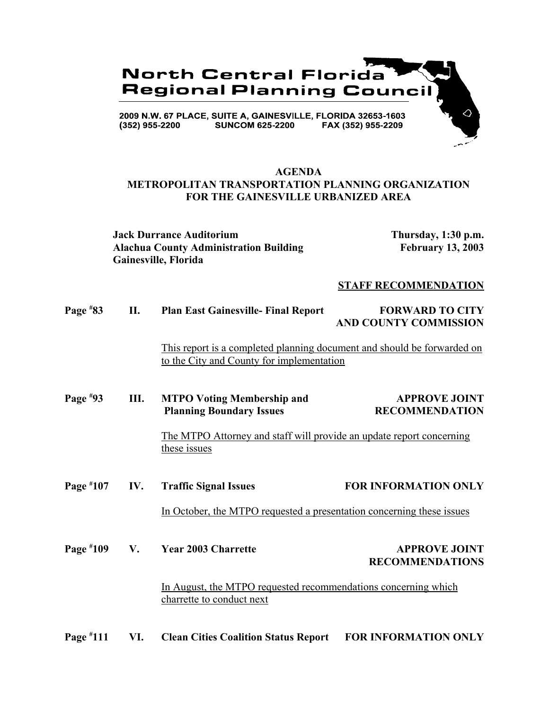

## **AGENDA METROPOLITAN TRANSPORTATION PLANNING ORGANIZATION FOR THE GAINESVILLE URBANIZED AREA**

**Jack Durrance Auditorium Thursday, 1:30 p.m. Alachua County Administration Building February 13, 2003 Gainesville, Florida**

### **STAFF RECOMMENDATION**

| Page $*83$ | <b>Plan East Gainesville- Final Report</b> | <b>FORWARD TO CITY</b>       |
|------------|--------------------------------------------|------------------------------|
|            |                                            | <b>AND COUNTY COMMISSION</b> |

This report is a completed planning document and should be forwarded on to the City and County for implementation

### **Page # III.** MTPO Voting Membership and **APPROVE JOINT Planning Boundary Issues RECOMMENDATION**

The MTPO Attorney and staff will provide an update report concerning these issues

**Page # 107 IV. Traffic Signal Issues FOR INFORMATION ONLY** 

In October, the MTPO requested a presentation concerning these issues

**Page # 109 V. A. Year 2003 Charrette APPROVE JOINT RECOMMENDATIONS**

> In August, the MTPO requested recommendations concerning which charrette to conduct next

**Page # 111 VI. Clean Cities Coalition Status Report FOR INFORMATION ONLY**